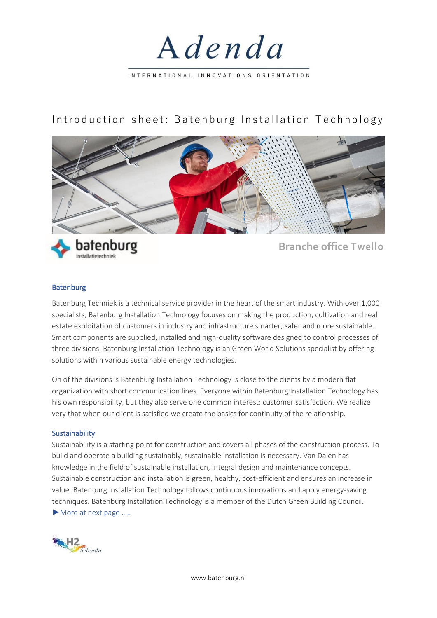

# Introduction sheet: Batenburg Installation Technology





**batenburg** Branche office Twello

## Batenburg

Batenburg Techniek is a technical service provider in the heart of the smart industry. With over 1,000 specialists, Batenburg Installation Technology focuses on making the production, cultivation and real estate exploitation of customers in industry and infrastructure smarter, safer and more sustainable. Smart components are supplied, installed and high-quality software designed to control processes of three divisions. Batenburg Installation Technology is an Green World Solutions specialist by offering solutions within various sustainable energy technologies.

On of the divisions is Batenburg Installation Technology is close to the clients by a modern flat organization with short communication lines. Everyone within Batenburg Installation Technology has his own responsibility, but they also serve one common interest: customer satisfaction. We realize very that when our client is satisfied we create the basics for continuity of the relationship.

#### Sustainability

Sustainability is a starting point for construction and covers all phases of the construction process. To build and operate a building sustainably, sustainable installation is necessary. Van Dalen has knowledge in the field of sustainable installation, integral design and maintenance concepts. Sustainable construction and installation is green, healthy, cost-efficient and ensures an increase in value. Batenburg Installation Technology follows continuous innovations and apply energy-saving techniques. Batenburg Installation Technology is a member of the Dutch Green Building Council. ►More at next page …..



www.batenburg.nl